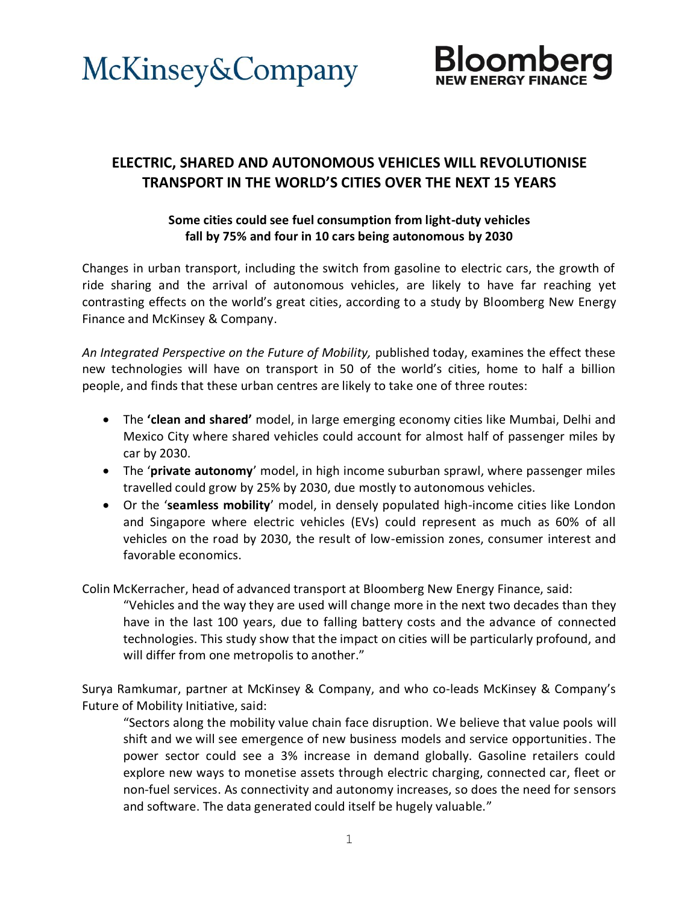



# **ELECTRIC, SHARED AND AUTONOMOUS VEHICLES WILL REVOLUTIONISE TRANSPORT IN THE WORLD'S CITIES OVER THE NEXT 15 YEARS**

# **Some cities could see fuel consumption from light-duty vehicles fall by 75% and four in 10 cars being autonomous by 2030**

Changes in urban transport, including the switch from gasoline to electric cars, the growth of ride sharing and the arrival of autonomous vehicles, are likely to have far reaching yet contrasting effects on the world's great cities, according to a study by Bloomberg New Energy Finance and McKinsey & Company.

*An Integrated Perspective on the Future of Mobility,* published today, examines the effect these new technologies will have on transport in 50 of the world's cities, home to half a billion people, and finds that these urban centres are likely to take one of three routes:

- The **'clean and shared'** model, in large emerging economy cities like Mumbai, Delhi and Mexico City where shared vehicles could account for almost half of passenger miles by car by 2030.
- The '**private autonomy**' model, in high income suburban sprawl, where passenger miles travelled could grow by 25% by 2030, due mostly to autonomous vehicles.
- Or the '**seamless mobility**' model, in densely populated high-income cities like London and Singapore where electric vehicles (EVs) could represent as much as 60% of all vehicles on the road by 2030, the result of low-emission zones, consumer interest and favorable economics.

Colin McKerracher, head of advanced transport at Bloomberg New Energy Finance, said:

"Vehicles and the way they are used will change more in the next two decades than they have in the last 100 years, due to falling battery costs and the advance of connected technologies. This study show that the impact on cities will be particularly profound, and will differ from one metropolis to another."

Surya Ramkumar, partner at McKinsey & Company, and who co-leads McKinsey & Company's Future of Mobility Initiative, said:

"Sectors along the mobility value chain face disruption. We believe that value pools will shift and we will see emergence of new business models and service opportunities. The power sector could see a 3% increase in demand globally. Gasoline retailers could explore new ways to monetise assets through electric charging, connected car, fleet or non-fuel services. As connectivity and autonomy increases, so does the need for sensors and software. The data generated could itself be hugely valuable."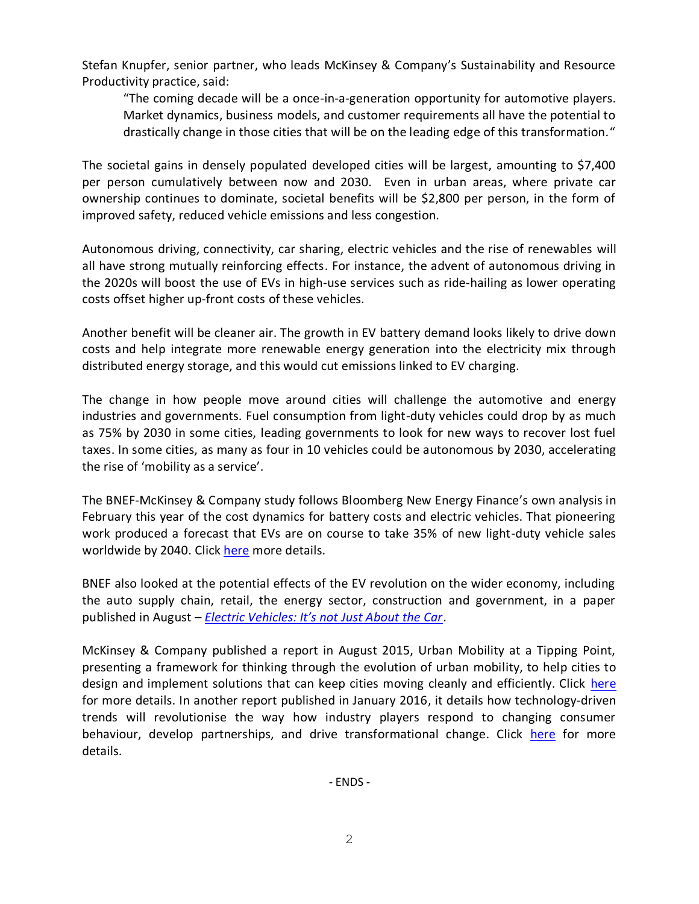Stefan Knupfer, senior partner, who leads McKinsey & Company's Sustainability and Resource Productivity practice, said:

"The coming decade will be a once-in-a-generation opportunity for automotive players. Market dynamics, business models, and customer requirements all have the potential to drastically change in those cities that will be on the leading edge of this transformation."

The societal gains in densely populated developed cities will be largest, amounting to \$7,400 per person cumulatively between now and 2030. Even in urban areas, where private car ownership continues to dominate, societal benefits will be \$2,800 per person, in the form of improved safety, reduced vehicle emissions and less congestion.

Autonomous driving, connectivity, car sharing, electric vehicles and the rise of renewables will all have strong mutually reinforcing effects. For instance, the advent of autonomous driving in the 2020s will boost the use of EVs in high-use services such as ride-hailing as lower operating costs offset higher up-front costs of these vehicles.

Another benefit will be cleaner air. The growth in EV battery demand looks likely to drive down costs and help integrate more renewable energy generation into the electricity mix through distributed energy storage, and this would cut emissions linked to EV charging.

The change in how people move around cities will challenge the automotive and energy industries and governments. Fuel consumption from light-duty vehicles could drop by as much as 75% by 2030 in some cities, leading governments to look for new ways to recover lost fuel taxes. In some cities, as many as four in 10 vehicles could be autonomous by 2030, accelerating the rise of 'mobility as a service'.

The BNEF-McKinsey & Company study follows Bloomberg New Energy Finance's own analysis in February this year of the cost dynamics for battery costs and electric vehicles. That pioneering work produced a forecast that EVs are on course to take 35% of new light-duty vehicle sales worldwide by 2040. Click [here](https://about.bnef.com/press-releases/electric-vehicles-to-be-35-of-global-new-car-sales-by-2040/) more details.

BNEF also looked at the potential effects of the EV revolution on the wider economy, including the auto supply chain, retail, the energy sector, construction and government, in a paper published in August – *[Electric Vehicles: It's not Just About the Car](https://about.bnef.com/blog/liebreich-mccrone-electric-vehicles-not-just-car/)*.

McKinsey & Company published a report in August 2015, Urban Mobility at a Tipping Point, presenting a framework for thinking through the evolution of urban mobility, to help cities to design and implement solutions that can keep cities moving cleanly and efficiently. Click [here](http://www.mckinsey.com/business-functions/sustainability-and-resource-productivity/our-insights/urban-mobility-at-a-tipping-point) for more details. In another report published in January 2016, it details how technology-driven trends will revolutionise the way how industry players respond to changing consumer behaviour, develop partnerships, and drive transformational change. Click [here](http://www.mckinsey.com/industries/high-tech/our-insights/disruptive-trends-that-will-transform-the-auto-industry) for more details.

- ENDS -